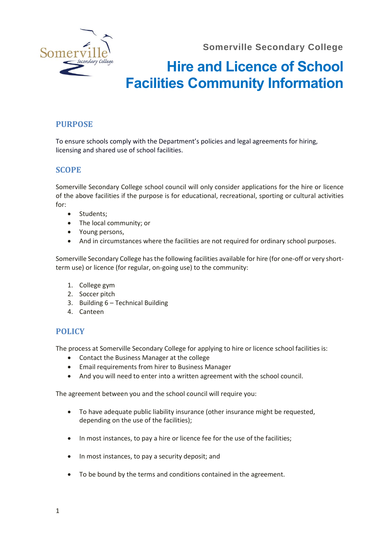**Somerville Secondary College**



# **Hire and Licence of School Facilities Community Information**

## **PURPOSE**

To ensure schools comply with the Department's policies and legal agreements for hiring, licensing and shared use of school facilities.

#### **SCOPE**

Somerville Secondary College school council will only consider applications for the hire or licence of the above facilities if the purpose is for educational, recreational, sporting or cultural activities for:

- Students;
- The local community; or
- Young persons,
- And in circumstances where the facilities are not required for ordinary school purposes.

Somerville Secondary College has the following facilities available for hire (for one-off or very shortterm use) or licence (for regular, on-going use) to the community:

- 1. College gym
- 2. Soccer pitch
- 3. Building 6 Technical Building
- 4. Canteen

### **POLICY**

The process at Somerville Secondary College for applying to hire or licence school facilities is:

- Contact the Business Manager at the college
- Email requirements from hirer to Business Manager
- And you will need to enter into a written agreement with the school council.

The agreement between you and the school council will require you:

- To have adequate public liability insurance (other insurance might be requested, depending on the use of the facilities);
- In most instances, to pay a hire or licence fee for the use of the facilities;
- In most instances, to pay a security deposit; and
- To be bound by the terms and conditions contained in the agreement.